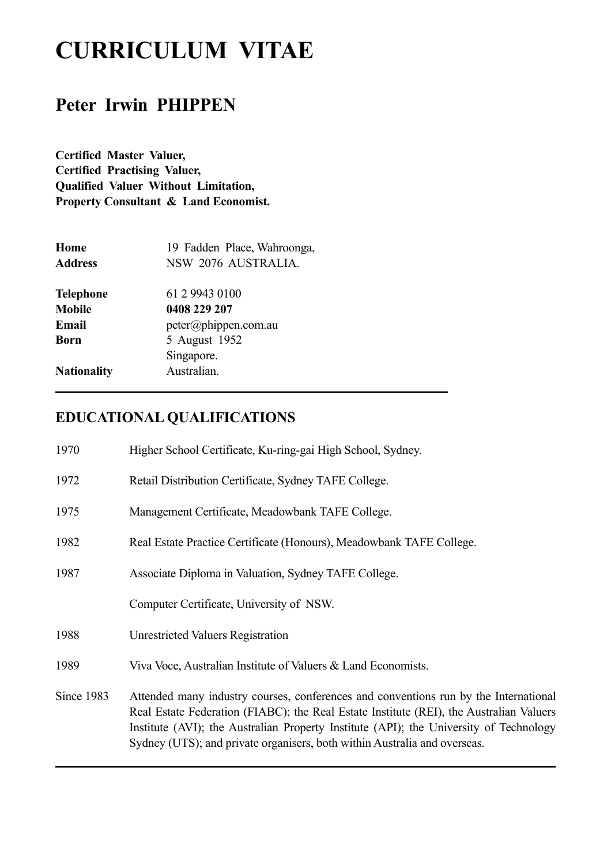# **CURRICULUM VITAE**

## **Peter Irwin PHIPPEN**

**Certified Master Valuer, Certified Practising Valuer, Qualified Valuer Without Limitation, Property Consultant & Land Economist.** 

| Home<br><b>Address</b> | 19 Fadden Place, Wahroonga,<br>NSW 2076 AUSTRALIA. |
|------------------------|----------------------------------------------------|
| <b>Telephone</b>       | 61 2 9943 0100                                     |
| <b>Mobile</b>          | 0408 229 207                                       |
| Email                  | peter@phippen.com.au                               |
| Born                   | 5 August 1952                                      |
|                        | Singapore.                                         |
| <b>Nationality</b>     | Australian.                                        |

### **EDUCATIONAL QUALIFICATIONS**

| 1970       | Higher School Certificate, Ku-ring-gai High School, Sydney.                                                                                                                                                                                                                                                                                            |
|------------|--------------------------------------------------------------------------------------------------------------------------------------------------------------------------------------------------------------------------------------------------------------------------------------------------------------------------------------------------------|
| 1972       | Retail Distribution Certificate, Sydney TAFE College.                                                                                                                                                                                                                                                                                                  |
| 1975       | Management Certificate, Meadowbank TAFE College.                                                                                                                                                                                                                                                                                                       |
| 1982       | Real Estate Practice Certificate (Honours), Meadowbank TAFE College.                                                                                                                                                                                                                                                                                   |
| 1987       | Associate Diploma in Valuation, Sydney TAFE College.                                                                                                                                                                                                                                                                                                   |
|            | Computer Certificate, University of NSW.                                                                                                                                                                                                                                                                                                               |
| 1988       | <b>Unrestricted Valuers Registration</b>                                                                                                                                                                                                                                                                                                               |
| 1989       | Viva Voce, Australian Institute of Valuers & Land Economists.                                                                                                                                                                                                                                                                                          |
| Since 1983 | Attended many industry courses, conferences and conventions run by the International<br>Real Estate Federation (FIABC); the Real Estate Institute (REI), the Australian Valuers<br>Institute (AVI); the Australian Property Institute (API); the University of Technology<br>Sydney (UTS); and private organisers, both within Australia and overseas. |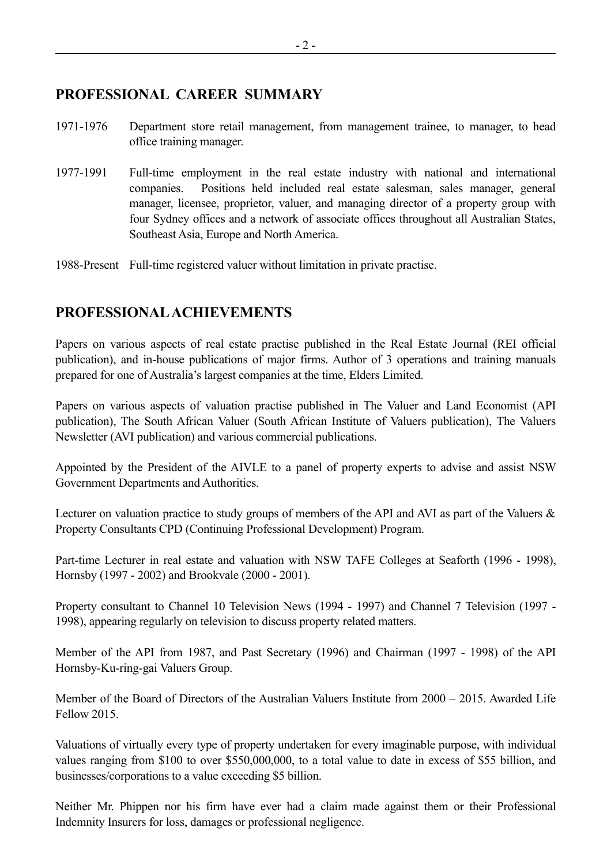#### **PROFESSIONAL CAREER SUMMARY**

- 1971-1976 Department store retail management, from management trainee, to manager, to head office training manager.
- 1977-1991 Full-time employment in the real estate industry with national and international companies. Positions held included real estate salesman, sales manager, general manager, licensee, proprietor, valuer, and managing director of a property group with four Sydney offices and a network of associate offices throughout all Australian States, Southeast Asia, Europe and North America.

1988-Present Full-time registered valuer without limitation in private practise.

#### **PROFESSIONAL ACHIEVEMENTS**

Papers on various aspects of real estate practise published in the Real Estate Journal (REI official publication), and in-house publications of major firms. Author of 3 operations and training manuals prepared for one of Australia's largest companies at the time, Elders Limited.

Papers on various aspects of valuation practise published in The Valuer and Land Economist (API publication), The South African Valuer (South African Institute of Valuers publication), The Valuers Newsletter (AVI publication) and various commercial publications.

Appointed by the President of the AIVLE to a panel of property experts to advise and assist NSW Government Departments and Authorities.

Lecturer on valuation practice to study groups of members of the API and AVI as part of the Valuers  $\&$ Property Consultants CPD (Continuing Professional Development) Program.

Part-time Lecturer in real estate and valuation with NSW TAFE Colleges at Seaforth (1996 - 1998), Hornsby (1997 - 2002) and Brookvale (2000 - 2001).

Property consultant to Channel 10 Television News (1994 - 1997) and Channel 7 Television (1997 - 1998), appearing regularly on television to discuss property related matters.

Member of the API from 1987, and Past Secretary (1996) and Chairman (1997 - 1998) of the API Hornsby-Ku-ring-gai Valuers Group.

Member of the Board of Directors of the Australian Valuers Institute from 2000 – 2015. Awarded Life Fellow 2015.

Valuations of virtually every type of property undertaken for every imaginable purpose, with individual values ranging from \$100 to over \$550,000,000, to a total value to date in excess of \$55 billion, and businesses/corporations to a value exceeding \$5 billion.

Neither Mr. Phippen nor his firm have ever had a claim made against them or their Professional Indemnity Insurers for loss, damages or professional negligence.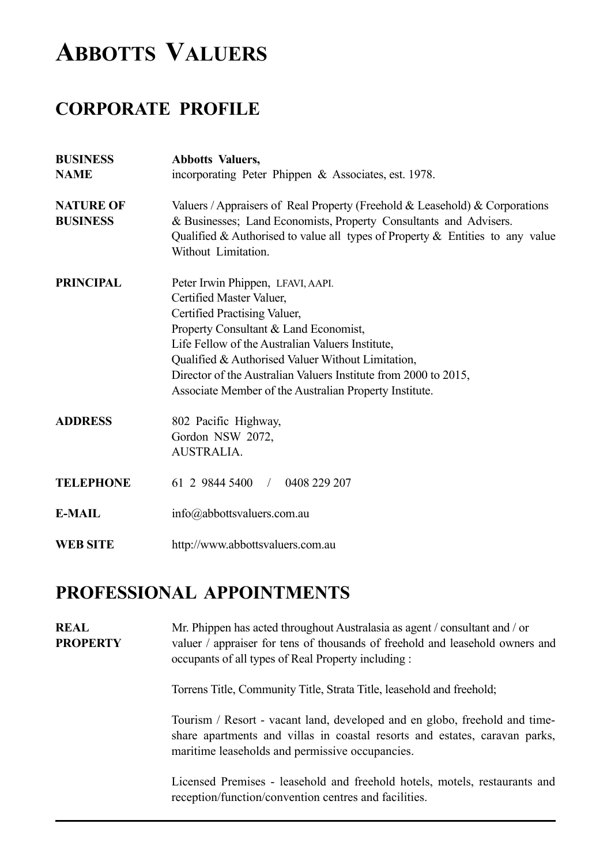## **ABBOTTS VALUERS**

## **CORPORATE PROFILE**

| <b>BUSINESS</b><br><b>NAME</b>      | <b>Abbotts Valuers,</b><br>incorporating Peter Phippen & Associates, est. 1978.                                                                                                                                                                                                                                                                                              |
|-------------------------------------|------------------------------------------------------------------------------------------------------------------------------------------------------------------------------------------------------------------------------------------------------------------------------------------------------------------------------------------------------------------------------|
| <b>NATURE OF</b><br><b>BUSINESS</b> | Valuers / Appraisers of Real Property (Freehold & Leasehold) & Corporations<br>& Businesses; Land Economists, Property Consultants and Advisers.<br>Qualified & Authorised to value all types of Property $\&$ Entities to any value<br>Without Limitation.                                                                                                                  |
| <b>PRINCIPAL</b>                    | Peter Irwin Phippen, LFAVI, AAPI.<br>Certified Master Valuer,<br>Certified Practising Valuer,<br>Property Consultant & Land Economist,<br>Life Fellow of the Australian Valuers Institute,<br>Qualified & Authorised Valuer Without Limitation,<br>Director of the Australian Valuers Institute from 2000 to 2015,<br>Associate Member of the Australian Property Institute. |
| <b>ADDRESS</b>                      | 802 Pacific Highway,<br>Gordon NSW 2072,<br><b>AUSTRALIA.</b>                                                                                                                                                                                                                                                                                                                |
| <b>TELEPHONE</b>                    | 61 2 9844 5400 /<br>0408 229 207                                                                                                                                                                                                                                                                                                                                             |
| <b>E-MAIL</b>                       | info@abbottsvaluers.com.au                                                                                                                                                                                                                                                                                                                                                   |
| <b>WEB SITE</b>                     | http://www.abbottsvaluers.com.au                                                                                                                                                                                                                                                                                                                                             |

### **PROFESSIONAL APPOINTMENTS**

**REAL** Mr. Phippen has acted throughout Australasia as agent / consultant and / or **PROPERTY** valuer / appraiser for tens of thousands of freehold and leasehold owners and occupants of all types of Real Property including :

Torrens Title, Community Title, Strata Title, leasehold and freehold;

Tourism / Resort - vacant land, developed and en globo, freehold and timeshare apartments and villas in coastal resorts and estates, caravan parks, maritime leaseholds and permissive occupancies.

Licensed Premises - leasehold and freehold hotels, motels, restaurants and reception/function/convention centres and facilities.